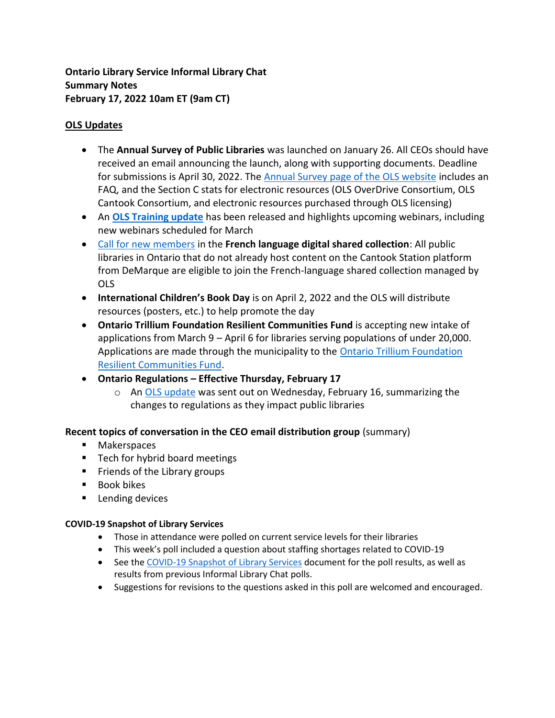**Ontario Library Service Informal Library Chat Summary Notes February 17, 2022 10am ET (9am CT)**

## **OLS Updates**

- The **Annual Survey of Public Libraries** was launched on January 26. All CEOs should have received an email announcing the launch, along with supporting documents. Deadline for submissions is April 30, 2022. The [Annual Survey page of the OLS website](https://www.olservice.ca/funding-grants/annual-survey) includes an FAQ, and the Section C stats for electronic resources (OLS OverDrive Consortium, OLS Cantook Consortium, and electronic resources purchased through OLS licensing)
- An **[OLS Training update](https://us20.campaign-archive.com/?u=7b058d7d482702c25c4c07674&id=98d6a7841e)** has been released and highlights upcoming webinars, including new webinars scheduled for March
- [Call for new members](https://mailchi.mp/olservice/call-for-new-members-french-digital-content-shared-collection?e=ef37b7896b)) in the **French language digital shared collection**: All public libraries in Ontario that do not already host content on the Cantook Station platform from DeMarque are eligible to join the French-language shared collection managed by OLS
- **International Children's Book Day** is on April 2, 2022 and the OLS will distribute resources (posters, etc.) to help promote the day
- **Ontario Trillium Foundation Resilient Communities Fund** is accepting new intake of applications from March 9 – April 6 for libraries serving populations of under 20,000. Applications are made through the municipality to the **Ontario Trillium Foundation** [Resilient Communities Fund.](https://www.otf.ca/our-grants/resilient-communities-fund)
- **Ontario Regulations – Effective Thursday, February 17**
	- o An [OLS update](https://us20.campaign-archive.com/?u=7b058d7d482702c25c4c07674&id=51261a9a0e) was sent out on Wednesday, February 16, summarizing the changes to regulations as they impact public libraries

# **Recent topics of conversation in the CEO email distribution group** (summary)

- Makerspaces
- Tech for hybrid board meetings
- **EXECUTE:** Friends of the Library groups
- Book bikes
- Lending devices

## **COVID-19 Snapshot of Library Services**

- Those in attendance were polled on current service levels for their libraries
- This week's poll included a question about staffing shortages related to COVID-19
- See the [COVID-19 Snapshot of Library Services](https://olservice.sharepoint.com/:x:/t/ConsultingMeetings/EVb1lz_ndeZAh4bpU7lrPOQBM5E0VVMNS3TG8iUNFDNORA?e=fh8CKc) document for the poll results, as well as results from previous Informal Library Chat polls.
- Suggestions for revisions to the questions asked in this poll are welcomed and encouraged.